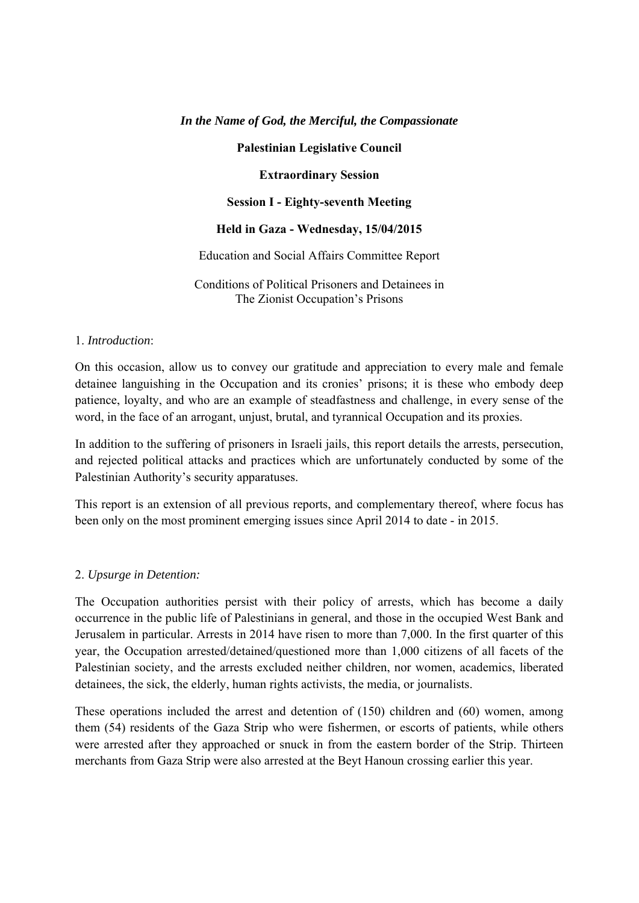## *In the Name of God, the Merciful, the Compassionate*

### **Palestinian Legislative Council**

**Extraordinary Session** 

### **Session I - Eighty-seventh Meeting**

### **Held in Gaza - Wednesday, 15/04/2015**

### Education and Social Affairs Committee Report

Conditions of Political Prisoners and Detainees in The Zionist Occupation's Prisons

### 1. *Introduction*:

On this occasion, allow us to convey our gratitude and appreciation to every male and female detainee languishing in the Occupation and its cronies' prisons; it is these who embody deep patience, loyalty, and who are an example of steadfastness and challenge, in every sense of the word, in the face of an arrogant, unjust, brutal, and tyrannical Occupation and its proxies.

In addition to the suffering of prisoners in Israeli jails, this report details the arrests, persecution, and rejected political attacks and practices which are unfortunately conducted by some of the Palestinian Authority's security apparatuses.

This report is an extension of all previous reports, and complementary thereof, where focus has been only on the most prominent emerging issues since April 2014 to date - in 2015.

## 2. *Upsurge in Detention:*

The Occupation authorities persist with their policy of arrests, which has become a daily occurrence in the public life of Palestinians in general, and those in the occupied West Bank and Jerusalem in particular. Arrests in 2014 have risen to more than 7,000. In the first quarter of this year, the Occupation arrested/detained/questioned more than 1,000 citizens of all facets of the Palestinian society, and the arrests excluded neither children, nor women, academics, liberated detainees, the sick, the elderly, human rights activists, the media, or journalists.

These operations included the arrest and detention of (150) children and (60) women, among them (54) residents of the Gaza Strip who were fishermen, or escorts of patients, while others were arrested after they approached or snuck in from the eastern border of the Strip. Thirteen merchants from Gaza Strip were also arrested at the Beyt Hanoun crossing earlier this year.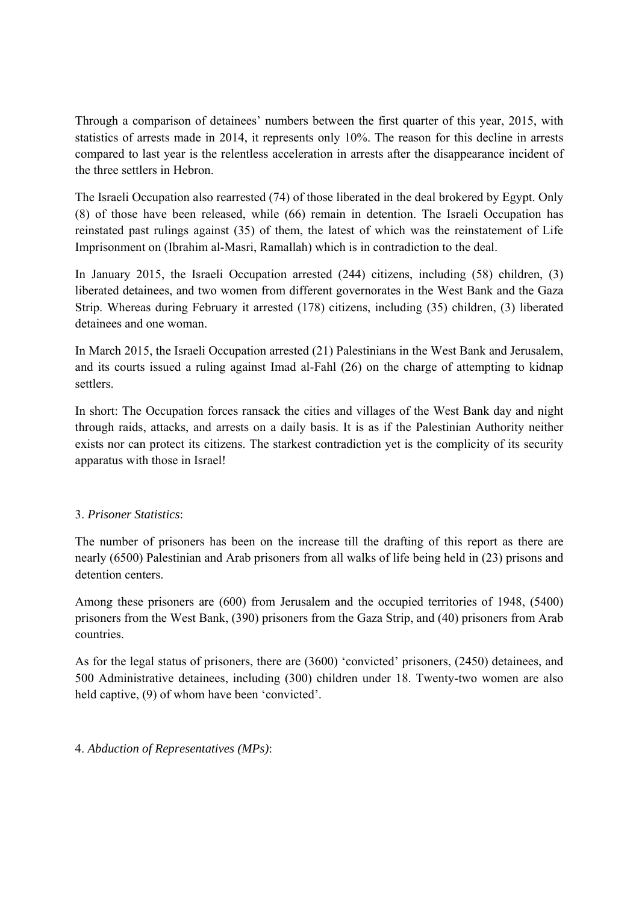Through a comparison of detainees' numbers between the first quarter of this year, 2015, with statistics of arrests made in 2014, it represents only 10%. The reason for this decline in arrests compared to last year is the relentless acceleration in arrests after the disappearance incident of the three settlers in Hebron.

The Israeli Occupation also rearrested (74) of those liberated in the deal brokered by Egypt. Only (8) of those have been released, while (66) remain in detention. The Israeli Occupation has reinstated past rulings against (35) of them, the latest of which was the reinstatement of Life Imprisonment on (Ibrahim al-Masri, Ramallah) which is in contradiction to the deal.

In January 2015, the Israeli Occupation arrested (244) citizens, including (58) children, (3) liberated detainees, and two women from different governorates in the West Bank and the Gaza Strip. Whereas during February it arrested (178) citizens, including (35) children, (3) liberated detainees and one woman.

In March 2015, the Israeli Occupation arrested (21) Palestinians in the West Bank and Jerusalem, and its courts issued a ruling against Imad al-Fahl (26) on the charge of attempting to kidnap settlers.

In short: The Occupation forces ransack the cities and villages of the West Bank day and night through raids, attacks, and arrests on a daily basis. It is as if the Palestinian Authority neither exists nor can protect its citizens. The starkest contradiction yet is the complicity of its security apparatus with those in Israel!

# 3. *Prisoner Statistics*:

The number of prisoners has been on the increase till the drafting of this report as there are nearly (6500) Palestinian and Arab prisoners from all walks of life being held in (23) prisons and detention centers.

Among these prisoners are (600) from Jerusalem and the occupied territories of 1948, (5400) prisoners from the West Bank, (390) prisoners from the Gaza Strip, and (40) prisoners from Arab countries.

As for the legal status of prisoners, there are (3600) 'convicted' prisoners, (2450) detainees, and 500 Administrative detainees, including (300) children under 18. Twenty-two women are also held captive, (9) of whom have been 'convicted'.

4. *Abduction of Representatives (MPs)*: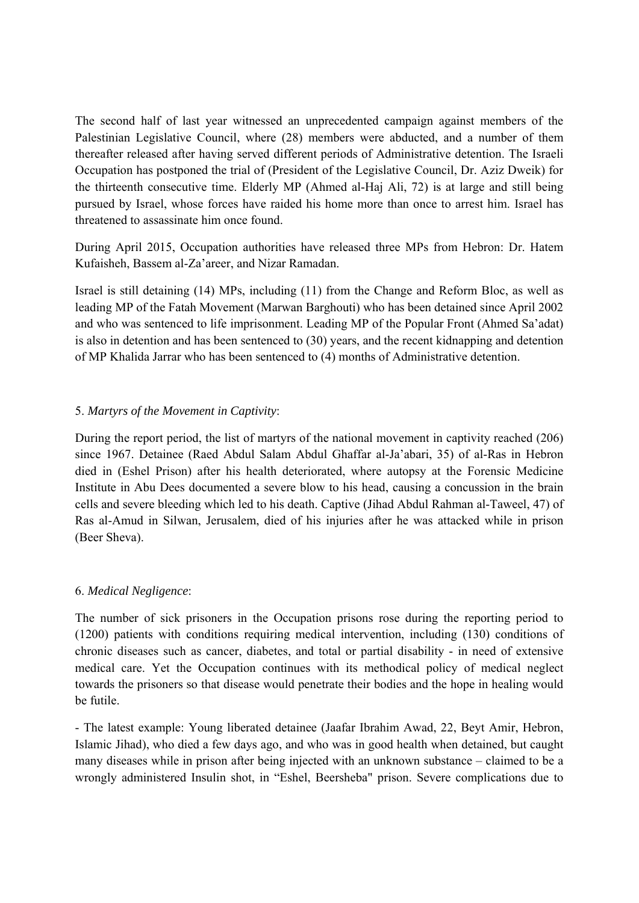The second half of last year witnessed an unprecedented campaign against members of the Palestinian Legislative Council, where (28) members were abducted, and a number of them thereafter released after having served different periods of Administrative detention. The Israeli Occupation has postponed the trial of (President of the Legislative Council, Dr. Aziz Dweik) for the thirteenth consecutive time. Elderly MP (Ahmed al-Haj Ali, 72) is at large and still being pursued by Israel, whose forces have raided his home more than once to arrest him. Israel has threatened to assassinate him once found.

During April 2015, Occupation authorities have released three MPs from Hebron: Dr. Hatem Kufaisheh, Bassem al-Za'areer, and Nizar Ramadan.

Israel is still detaining (14) MPs, including (11) from the Change and Reform Bloc, as well as leading MP of the Fatah Movement (Marwan Barghouti) who has been detained since April 2002 and who was sentenced to life imprisonment. Leading MP of the Popular Front (Ahmed Sa'adat) is also in detention and has been sentenced to (30) years, and the recent kidnapping and detention of MP Khalida Jarrar who has been sentenced to (4) months of Administrative detention.

# 5. *Martyrs of the Movement in Captivity*:

During the report period, the list of martyrs of the national movement in captivity reached (206) since 1967. Detainee (Raed Abdul Salam Abdul Ghaffar al-Ja'abari, 35) of al-Ras in Hebron died in (Eshel Prison) after his health deteriorated, where autopsy at the Forensic Medicine Institute in Abu Dees documented a severe blow to his head, causing a concussion in the brain cells and severe bleeding which led to his death. Captive (Jihad Abdul Rahman al-Taweel, 47) of Ras al-Amud in Silwan, Jerusalem, died of his injuries after he was attacked while in prison (Beer Sheva).

## 6. *Medical Negligence*:

The number of sick prisoners in the Occupation prisons rose during the reporting period to (1200) patients with conditions requiring medical intervention, including (130) conditions of chronic diseases such as cancer, diabetes, and total or partial disability - in need of extensive medical care. Yet the Occupation continues with its methodical policy of medical neglect towards the prisoners so that disease would penetrate their bodies and the hope in healing would be futile.

- The latest example: Young liberated detainee (Jaafar Ibrahim Awad, 22, Beyt Amir, Hebron, Islamic Jihad), who died a few days ago, and who was in good health when detained, but caught many diseases while in prison after being injected with an unknown substance – claimed to be a wrongly administered Insulin shot, in "Eshel, Beersheba" prison. Severe complications due to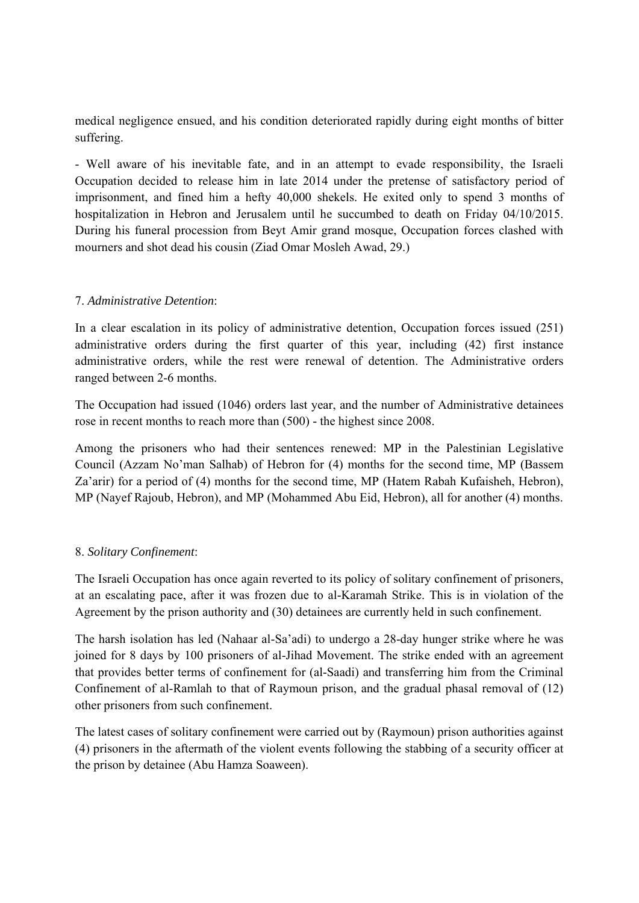medical negligence ensued, and his condition deteriorated rapidly during eight months of bitter suffering.

- Well aware of his inevitable fate, and in an attempt to evade responsibility, the Israeli Occupation decided to release him in late 2014 under the pretense of satisfactory period of imprisonment, and fined him a hefty 40,000 shekels. He exited only to spend 3 months of hospitalization in Hebron and Jerusalem until he succumbed to death on Friday 04/10/2015. During his funeral procession from Beyt Amir grand mosque, Occupation forces clashed with mourners and shot dead his cousin (Ziad Omar Mosleh Awad, 29.)

## 7. *Administrative Detention*:

In a clear escalation in its policy of administrative detention, Occupation forces issued (251) administrative orders during the first quarter of this year, including (42) first instance administrative orders, while the rest were renewal of detention. The Administrative orders ranged between 2-6 months.

The Occupation had issued (1046) orders last year, and the number of Administrative detainees rose in recent months to reach more than (500) - the highest since 2008.

Among the prisoners who had their sentences renewed: MP in the Palestinian Legislative Council (Azzam No'man Salhab) of Hebron for (4) months for the second time, MP (Bassem Za'arir) for a period of (4) months for the second time, MP (Hatem Rabah Kufaisheh, Hebron), MP (Nayef Rajoub, Hebron), and MP (Mohammed Abu Eid, Hebron), all for another (4) months.

# 8. *Solitary Confinement*:

The Israeli Occupation has once again reverted to its policy of solitary confinement of prisoners, at an escalating pace, after it was frozen due to al-Karamah Strike. This is in violation of the Agreement by the prison authority and (30) detainees are currently held in such confinement.

The harsh isolation has led (Nahaar al-Sa'adi) to undergo a 28-day hunger strike where he was joined for 8 days by 100 prisoners of al-Jihad Movement. The strike ended with an agreement that provides better terms of confinement for (al-Saadi) and transferring him from the Criminal Confinement of al-Ramlah to that of Raymoun prison, and the gradual phasal removal of (12) other prisoners from such confinement.

The latest cases of solitary confinement were carried out by (Raymoun) prison authorities against (4) prisoners in the aftermath of the violent events following the stabbing of a security officer at the prison by detainee (Abu Hamza Soaween).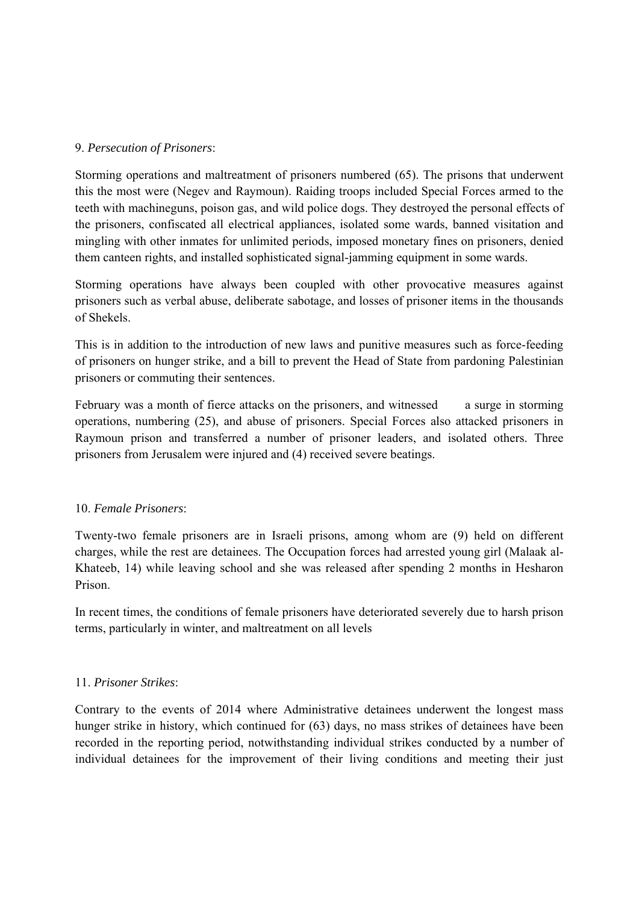### 9. *Persecution of Prisoners*:

Storming operations and maltreatment of prisoners numbered (65). The prisons that underwent this the most were (Negev and Raymoun). Raiding troops included Special Forces armed to the teeth with machineguns, poison gas, and wild police dogs. They destroyed the personal effects of the prisoners, confiscated all electrical appliances, isolated some wards, banned visitation and mingling with other inmates for unlimited periods, imposed monetary fines on prisoners, denied them canteen rights, and installed sophisticated signal-jamming equipment in some wards.

Storming operations have always been coupled with other provocative measures against prisoners such as verbal abuse, deliberate sabotage, and losses of prisoner items in the thousands of Shekels.

This is in addition to the introduction of new laws and punitive measures such as force-feeding of prisoners on hunger strike, and a bill to prevent the Head of State from pardoning Palestinian prisoners or commuting their sentences.

February was a month of fierce attacks on the prisoners, and witnessed a surge in storming operations, numbering (25), and abuse of prisoners. Special Forces also attacked prisoners in Raymoun prison and transferred a number of prisoner leaders, and isolated others. Three prisoners from Jerusalem were injured and (4) received severe beatings.

## 10. *Female Prisoners*:

Twenty-two female prisoners are in Israeli prisons, among whom are (9) held on different charges, while the rest are detainees. The Occupation forces had arrested young girl (Malaak al-Khateeb, 14) while leaving school and she was released after spending 2 months in Hesharon Prison.

In recent times, the conditions of female prisoners have deteriorated severely due to harsh prison terms, particularly in winter, and maltreatment on all levels

## 11. *Prisoner Strikes*:

Contrary to the events of 2014 where Administrative detainees underwent the longest mass hunger strike in history, which continued for (63) days, no mass strikes of detainees have been recorded in the reporting period, notwithstanding individual strikes conducted by a number of individual detainees for the improvement of their living conditions and meeting their just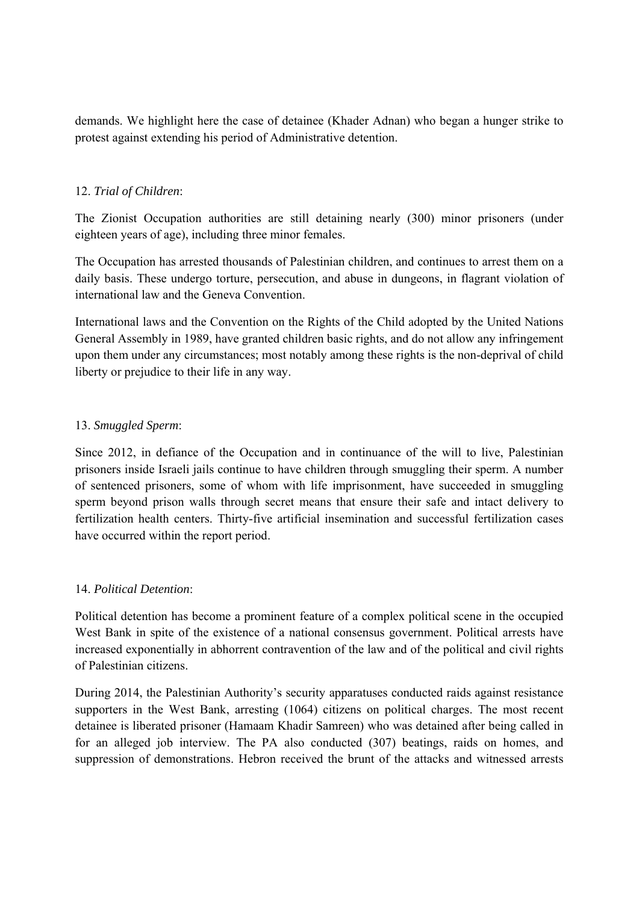demands. We highlight here the case of detainee (Khader Adnan) who began a hunger strike to protest against extending his period of Administrative detention.

## 12. *Trial of Children*:

The Zionist Occupation authorities are still detaining nearly (300) minor prisoners (under eighteen years of age), including three minor females.

The Occupation has arrested thousands of Palestinian children, and continues to arrest them on a daily basis. These undergo torture, persecution, and abuse in dungeons, in flagrant violation of international law and the Geneva Convention.

International laws and the Convention on the Rights of the Child adopted by the United Nations General Assembly in 1989, have granted children basic rights, and do not allow any infringement upon them under any circumstances; most notably among these rights is the non-deprival of child liberty or prejudice to their life in any way.

## 13. *Smuggled Sperm*:

Since 2012, in defiance of the Occupation and in continuance of the will to live, Palestinian prisoners inside Israeli jails continue to have children through smuggling their sperm. A number of sentenced prisoners, some of whom with life imprisonment, have succeeded in smuggling sperm beyond prison walls through secret means that ensure their safe and intact delivery to fertilization health centers. Thirty-five artificial insemination and successful fertilization cases have occurred within the report period.

## 14. *Political Detention*:

Political detention has become a prominent feature of a complex political scene in the occupied West Bank in spite of the existence of a national consensus government. Political arrests have increased exponentially in abhorrent contravention of the law and of the political and civil rights of Palestinian citizens.

During 2014, the Palestinian Authority's security apparatuses conducted raids against resistance supporters in the West Bank, arresting (1064) citizens on political charges. The most recent detainee is liberated prisoner (Hamaam Khadir Samreen) who was detained after being called in for an alleged job interview. The PA also conducted (307) beatings, raids on homes, and suppression of demonstrations. Hebron received the brunt of the attacks and witnessed arrests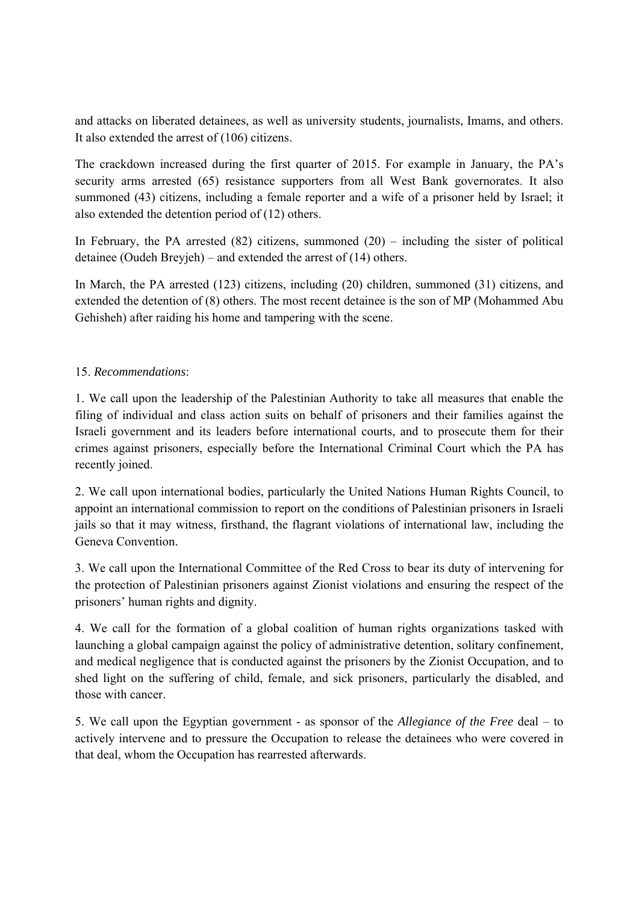and attacks on liberated detainees, as well as university students, journalists, Imams, and others. It also extended the arrest of (106) citizens.

The crackdown increased during the first quarter of 2015. For example in January, the PA's security arms arrested (65) resistance supporters from all West Bank governorates. It also summoned (43) citizens, including a female reporter and a wife of a prisoner held by Israel; it also extended the detention period of (12) others.

In February, the PA arrested  $(82)$  citizens, summoned  $(20)$  – including the sister of political detainee (Oudeh Breyjeh) – and extended the arrest of (14) others.

In March, the PA arrested (123) citizens, including (20) children, summoned (31) citizens, and extended the detention of (8) others. The most recent detainee is the son of MP (Mohammed Abu Gehisheh) after raiding his home and tampering with the scene.

# 15. *Recommendations*:

1. We call upon the leadership of the Palestinian Authority to take all measures that enable the filing of individual and class action suits on behalf of prisoners and their families against the Israeli government and its leaders before international courts, and to prosecute them for their crimes against prisoners, especially before the International Criminal Court which the PA has recently joined.

2. We call upon international bodies, particularly the United Nations Human Rights Council, to appoint an international commission to report on the conditions of Palestinian prisoners in Israeli jails so that it may witness, firsthand, the flagrant violations of international law, including the Geneva Convention.

3. We call upon the International Committee of the Red Cross to bear its duty of intervening for the protection of Palestinian prisoners against Zionist violations and ensuring the respect of the prisoners' human rights and dignity.

4. We call for the formation of a global coalition of human rights organizations tasked with launching a global campaign against the policy of administrative detention, solitary confinement, and medical negligence that is conducted against the prisoners by the Zionist Occupation, and to shed light on the suffering of child, female, and sick prisoners, particularly the disabled, and those with cancer.

5. We call upon the Egyptian government - as sponsor of the *Allegiance of the Free* deal – to actively intervene and to pressure the Occupation to release the detainees who were covered in that deal, whom the Occupation has rearrested afterwards.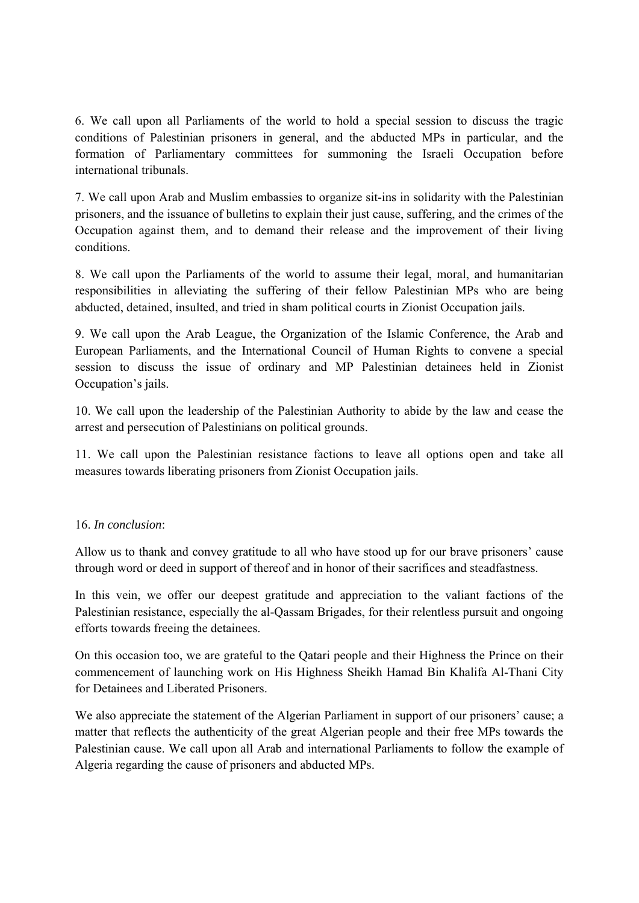6. We call upon all Parliaments of the world to hold a special session to discuss the tragic conditions of Palestinian prisoners in general, and the abducted MPs in particular, and the formation of Parliamentary committees for summoning the Israeli Occupation before international tribunals.

7. We call upon Arab and Muslim embassies to organize sit-ins in solidarity with the Palestinian prisoners, and the issuance of bulletins to explain their just cause, suffering, and the crimes of the Occupation against them, and to demand their release and the improvement of their living conditions.

8. We call upon the Parliaments of the world to assume their legal, moral, and humanitarian responsibilities in alleviating the suffering of their fellow Palestinian MPs who are being abducted, detained, insulted, and tried in sham political courts in Zionist Occupation jails.

9. We call upon the Arab League, the Organization of the Islamic Conference, the Arab and European Parliaments, and the International Council of Human Rights to convene a special session to discuss the issue of ordinary and MP Palestinian detainees held in Zionist Occupation's jails.

10. We call upon the leadership of the Palestinian Authority to abide by the law and cease the arrest and persecution of Palestinians on political grounds.

11. We call upon the Palestinian resistance factions to leave all options open and take all measures towards liberating prisoners from Zionist Occupation jails.

# 16. *In conclusion*:

Allow us to thank and convey gratitude to all who have stood up for our brave prisoners' cause through word or deed in support of thereof and in honor of their sacrifices and steadfastness.

In this vein, we offer our deepest gratitude and appreciation to the valiant factions of the Palestinian resistance, especially the al-Qassam Brigades, for their relentless pursuit and ongoing efforts towards freeing the detainees.

On this occasion too, we are grateful to the Qatari people and their Highness the Prince on their commencement of launching work on His Highness Sheikh Hamad Bin Khalifa Al-Thani City for Detainees and Liberated Prisoners.

We also appreciate the statement of the Algerian Parliament in support of our prisoners' cause; a matter that reflects the authenticity of the great Algerian people and their free MPs towards the Palestinian cause. We call upon all Arab and international Parliaments to follow the example of Algeria regarding the cause of prisoners and abducted MPs.